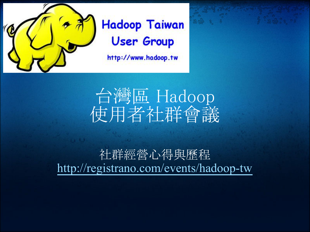

## **Hadoop Taiwan User Group**

http://www.hadoop.tw



### 社群經營心得與歷程 <http://registrano.com/events/hadoop-tw>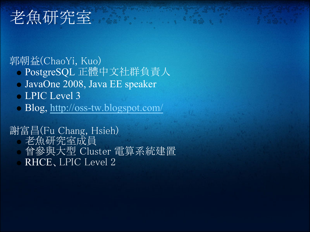# 老魚研究室

郭朝益(ChaoYi, Kuo)

- PostgreSQL 正體中文社群負責人
- JavaOne 2008, Java EE speaker
- LPIC Level 3
- Blog,<http://oss-tw.blogspot.com/>

謝富昌(Fu Chang, Hsieh) 老魚研究室成員 曾參與大型 Cluster 電算系統建置 RHCE、LPIC Level 2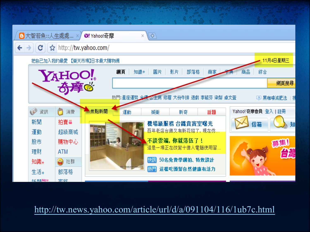

<http://tw.news.yahoo.com/article/url/d/a/091104/116/1ub7c.html>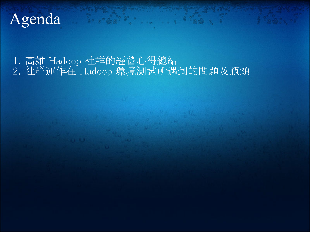## Agenda

1. 高雄 Hadoop 社群的經營心得總結 2. 社群運作在 Hadoop 環境測試所遇到的問題及瓶頸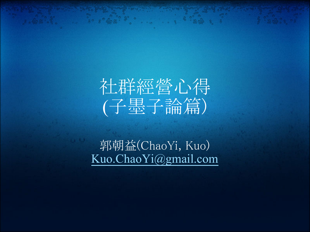# 社群經營心得 (子墨子論篇)

郭朝益(ChaoYi, Kuo) [Kuo.ChaoYi@gmail.com](mailto:Kuo.ChaoYi@gmail.com)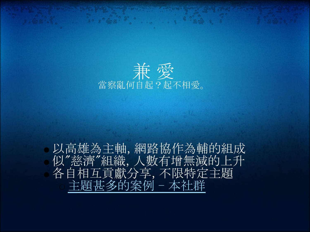

以高雄為主軸, 網路協作為輔的組成 似"慈濟"組織, 人數有增無減的上升 各自相互貢獻分享, 不限特定主題 [主題甚多的案例 - 本社群](http://sites.google.com/site/javacodelibrary/lab-state)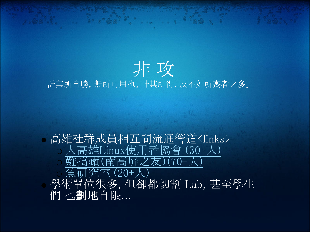

高雄社群成員相互間流通管道<links> [大高雄Linux使用者協會 \(30+人\)](http://kalug.linux.org.tw/pmwiki) [難搞蘋\(南高屏之友\)\(70+人\)](http://taipeimac.ning.com/group/kaohsiung) [魚研究室 \(20+人\)](http://sites.google.com/site/javacodelibrary/lab-state) 學術單位很多, 但卻都切割 Lab, 甚至學生 們 也劃地自限...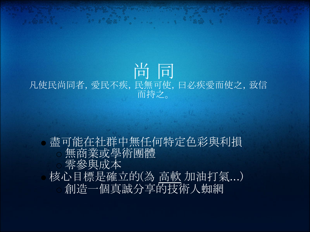#### 尚 同 凡使民尚同者,愛民不疾,民無可使,曰必疾愛而使之,致信 而持之。

盡可能在社群中無任何特定色彩與利損 無商業或學術團體 零參與成本 核心目標是確立的(為 高軟 加油打氣...) 創造一個真誠分享的技術人蜘網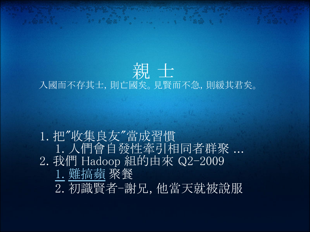### 親 士 入國而不存其士,則亡國矣。見賢而不急,則緩其君矣。

1. 把"收集良友"當成習慣 1. 人們會自發性牽引相同者群聚 ... 2. 我們 Hadoop 組的由來 Q2-2009 1. [難搞蘋](http://taipeimac.ning.com/group/kaohsiung) 聚餐 2. 初識賢者-謝兄, 他當天就被說服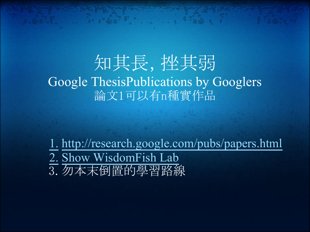### 知其長, 挫其弱 Google ThesisPublications by Googlers 論文1可以有n種實作品

1. <http://research.google.com/pubs/papers.html> 2. [Show WisdomFish Lab](http://sites.google.com/site/wisdomfishodbms/google-references/google-file-system) 3. 勿本末倒置的學習路線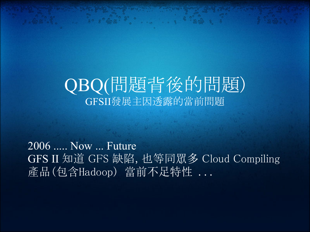### QBQ(問題背後的問題) GFSII發展主因透露的當前問題

2006 ..... Now ... Future GFS II 知道 GF㻿 缺陷, 也等同眾多 Cloud Compiling 產品(包含Hadoop) 當前不足特性 ...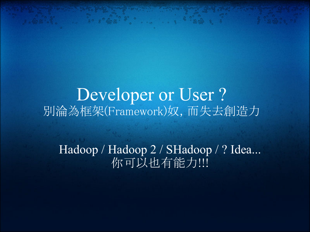Developer or User? 別淪為框架(Framework)奴, 而失去創造力

Hadoop / Hadoop 2 / SHadoop / ? Idea... 你可以也有能力 !!!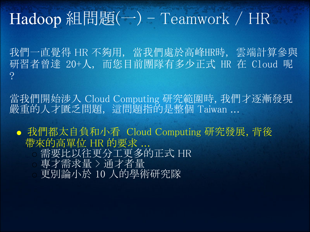# Hadoop 組間題(一) - Teamwork / HR

我們一直覺得 HR 不夠用, 當我們處於高峰HR時, 雲端計算參與 研習者曾達 20+人, 而您目前團隊有多少正式 HR 在 Cloud 呢 ?

當我們開始涉入 Cloud Computing 研究範圍時, 我們才逐漸發現 嚴重的人才匱乏問題, 這問題指的是整個 Taiwan ...

我們都太自負和小看 Cloud Computing 研究發展, 背後 帶來的高單位 HR 的要求 ...

需要比以往更分工更多的正式 HR

專才需求量 > 通才者量

更別論小於 10 人的學術研究隊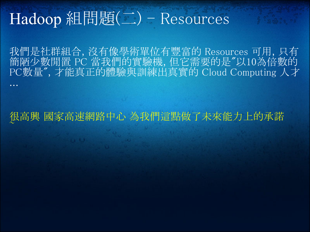# Hadoop 組問題(二) - Resources

我們是社群組合, 沒有像學術單位有豐富的 Resources 可用, 只有 簡陋少數閒置 PC 當我們的實驗機, 但它需要的是"以10為倍數的 㻼C數量", 才能真正的體驗與訓練出真實的 Cloud Computing 人才 ...

#### 很高興 國家高速網路中心 為我們這點做了未來能力上的承諾  $\sim$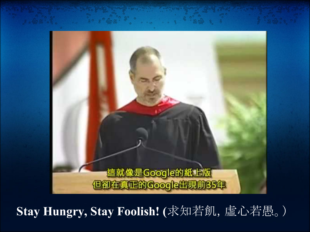

**Stay Hungry, Stay Foolish! (**求知若飢,虛心若愚。)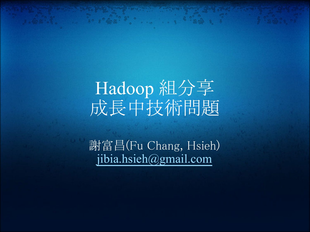# Hadoop 組分享 成長中技術問題

謝富昌(Fu Chang, Hsieh) [jibia.hsieh@gmail.com](mailto:jibia.hsieh@gmail.com)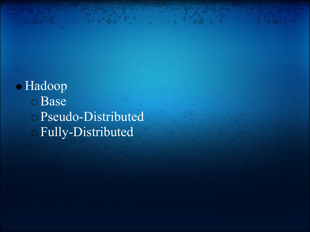Hadoop Base Pseudo-Distributed Fully-Distributed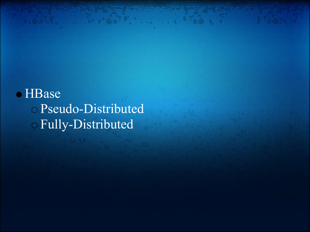HBase Pseudo-Distributed Fully-Distributed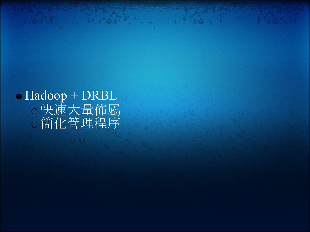Hadoop + DRBL 快㏿大量佈屬 簡化管理程序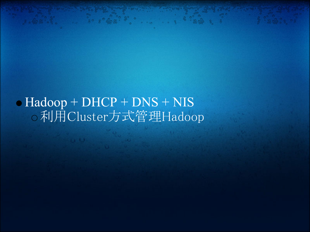Hadoop + DHCP + DNS + NIS 利用Cluster方式管理Hadoop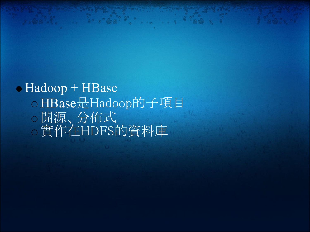### • Hadoop + HBase o HBase是Hadoop的子項目 開源、分佈式 實作在HDF㻿的資料庫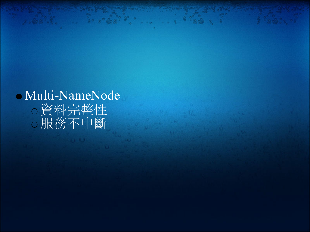Multi-NameNode 資料完整性 服務不中斷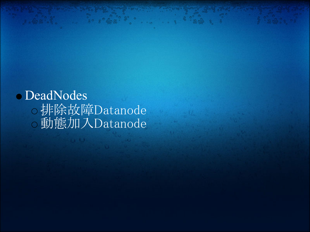DeadNodes 排除故障Datanode 動態加入Datanode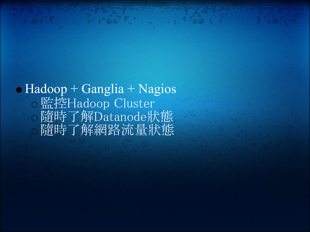### $\bullet$  Hadoop + Ganglia + Nagios 監控Hadoop Cluster 隨時了解Datanode狀態 隨時了解網路流量狀態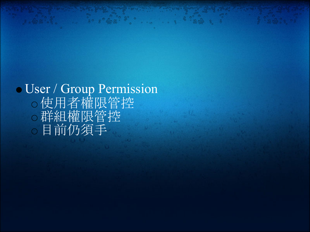User / Group Permission 使用者權限管控 群組權限管控 目前仍須手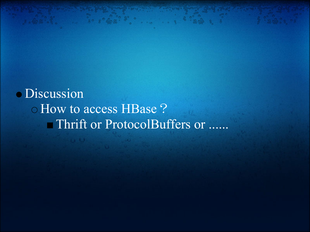Discussion o How to access HBase ? Thrift or ProtocolBuffers or ......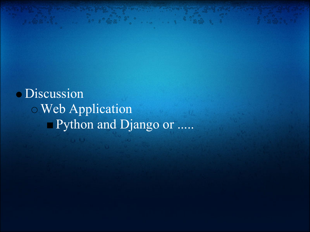Discussion Web Application Python and Django or .....

 $8 - 328 - 3$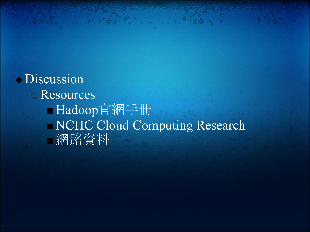· Discussion Resources Hadoop官網手冊 NCHC Cloud Computing Research 網路資料